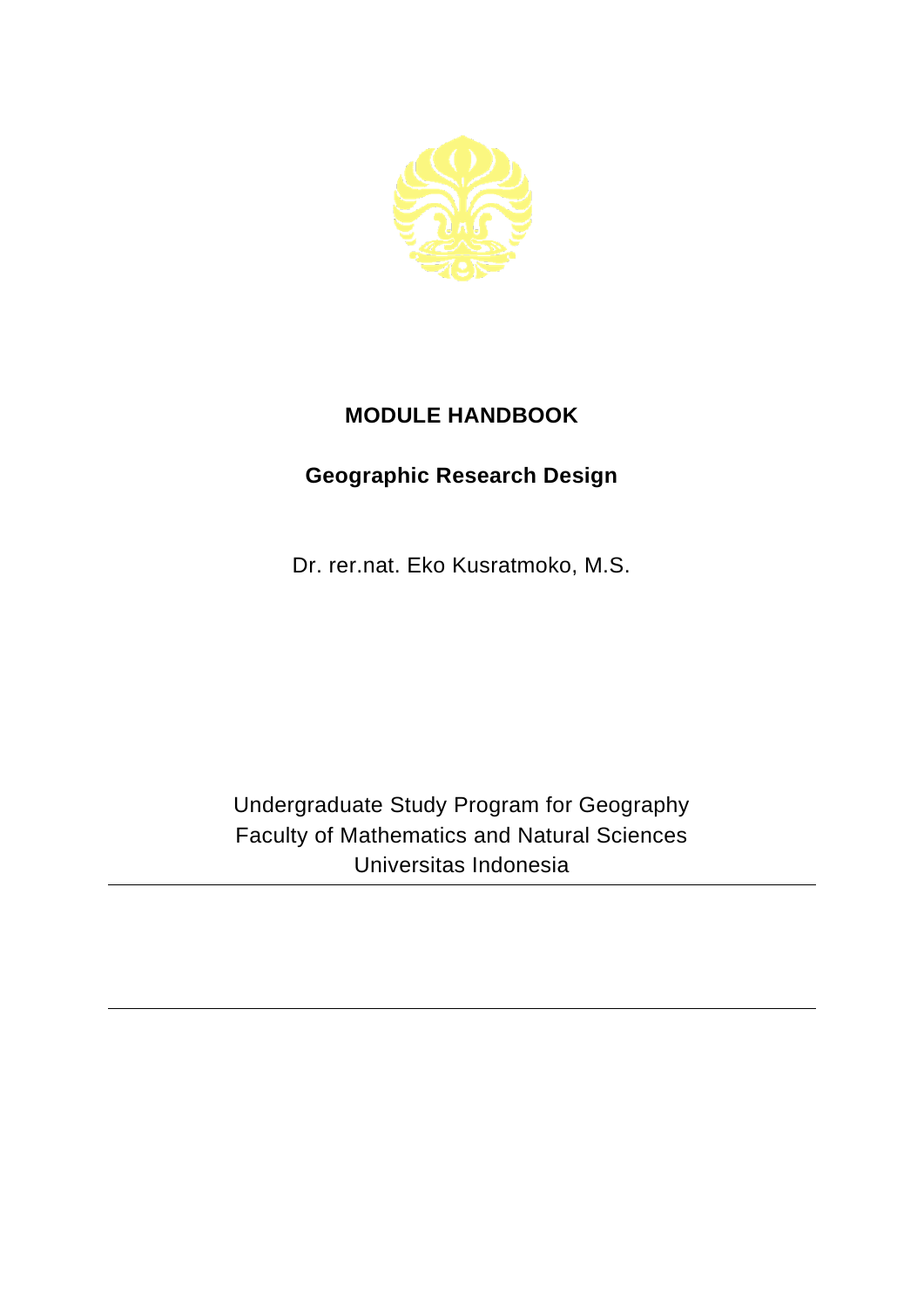

## **MODULE HANDBOOK**

## **Geographic Research Design**

Dr. rer.nat. Eko Kusratmoko, M.S.

Undergraduate Study Program for Geography Faculty of Mathematics and Natural Sciences Universitas Indonesia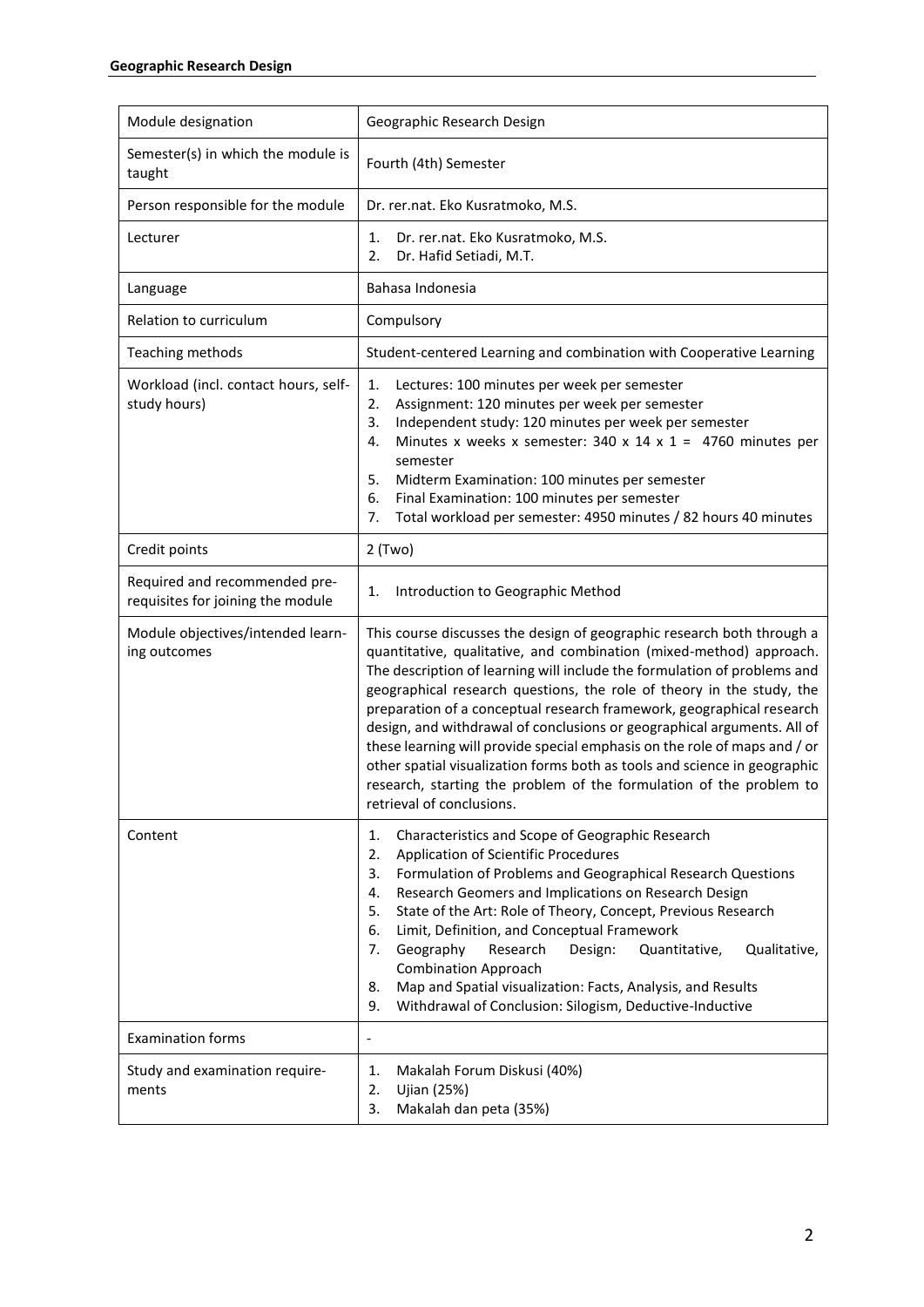| Module designation                                                 | Geographic Research Design                                                                                                                                                                                                                                                                                                                                                                                                                                                                                                                                                                                                                                                                                           |
|--------------------------------------------------------------------|----------------------------------------------------------------------------------------------------------------------------------------------------------------------------------------------------------------------------------------------------------------------------------------------------------------------------------------------------------------------------------------------------------------------------------------------------------------------------------------------------------------------------------------------------------------------------------------------------------------------------------------------------------------------------------------------------------------------|
| Semester(s) in which the module is<br>taught                       | Fourth (4th) Semester                                                                                                                                                                                                                                                                                                                                                                                                                                                                                                                                                                                                                                                                                                |
| Person responsible for the module                                  | Dr. rer.nat. Eko Kusratmoko, M.S.                                                                                                                                                                                                                                                                                                                                                                                                                                                                                                                                                                                                                                                                                    |
| Lecturer                                                           | Dr. rer.nat. Eko Kusratmoko, M.S.<br>1.<br>2.<br>Dr. Hafid Setiadi, M.T.                                                                                                                                                                                                                                                                                                                                                                                                                                                                                                                                                                                                                                             |
| Language                                                           | Bahasa Indonesia                                                                                                                                                                                                                                                                                                                                                                                                                                                                                                                                                                                                                                                                                                     |
| Relation to curriculum                                             | Compulsory                                                                                                                                                                                                                                                                                                                                                                                                                                                                                                                                                                                                                                                                                                           |
| Teaching methods                                                   | Student-centered Learning and combination with Cooperative Learning                                                                                                                                                                                                                                                                                                                                                                                                                                                                                                                                                                                                                                                  |
| Workload (incl. contact hours, self-<br>study hours)               | 1.<br>Lectures: 100 minutes per week per semester<br>2.<br>Assignment: 120 minutes per week per semester<br>Independent study: 120 minutes per week per semester<br>3.<br>Minutes x weeks x semester: 340 x 14 x 1 = 4760 minutes per<br>4.<br>semester<br>5.<br>Midterm Examination: 100 minutes per semester<br>6.<br>Final Examination: 100 minutes per semester<br>Total workload per semester: 4950 minutes / 82 hours 40 minutes<br>7.                                                                                                                                                                                                                                                                         |
| Credit points                                                      | $2$ (Two)                                                                                                                                                                                                                                                                                                                                                                                                                                                                                                                                                                                                                                                                                                            |
| Required and recommended pre-<br>requisites for joining the module | 1.<br>Introduction to Geographic Method                                                                                                                                                                                                                                                                                                                                                                                                                                                                                                                                                                                                                                                                              |
| Module objectives/intended learn-<br>ing outcomes                  | This course discusses the design of geographic research both through a<br>quantitative, qualitative, and combination (mixed-method) approach.<br>The description of learning will include the formulation of problems and<br>geographical research questions, the role of theory in the study, the<br>preparation of a conceptual research framework, geographical research<br>design, and withdrawal of conclusions or geographical arguments. All of<br>these learning will provide special emphasis on the role of maps and / or<br>other spatial visualization forms both as tools and science in geographic<br>research, starting the problem of the formulation of the problem to<br>retrieval of conclusions. |
| Content                                                            | Characteristics and Scope of Geographic Research<br>1.<br>2.<br>Application of Scientific Procedures<br>Formulation of Problems and Geographical Research Questions<br>3.<br>Research Geomers and Implications on Research Design<br>4.<br>State of the Art: Role of Theory, Concept, Previous Research<br>5.<br>Limit, Definition, and Conceptual Framework<br>6.<br>Geography<br>Qualitative,<br>Research<br>Design:<br>Quantitative,<br>7.<br><b>Combination Approach</b><br>Map and Spatial visualization: Facts, Analysis, and Results<br>8.<br>Withdrawal of Conclusion: Silogism, Deductive-Inductive<br>9.                                                                                                   |
| <b>Examination forms</b>                                           | $\overline{a}$                                                                                                                                                                                                                                                                                                                                                                                                                                                                                                                                                                                                                                                                                                       |
| Study and examination require-<br>ments                            | Makalah Forum Diskusi (40%)<br>1.<br>2.<br>Ujian (25%)<br>Makalah dan peta (35%)<br>3.                                                                                                                                                                                                                                                                                                                                                                                                                                                                                                                                                                                                                               |